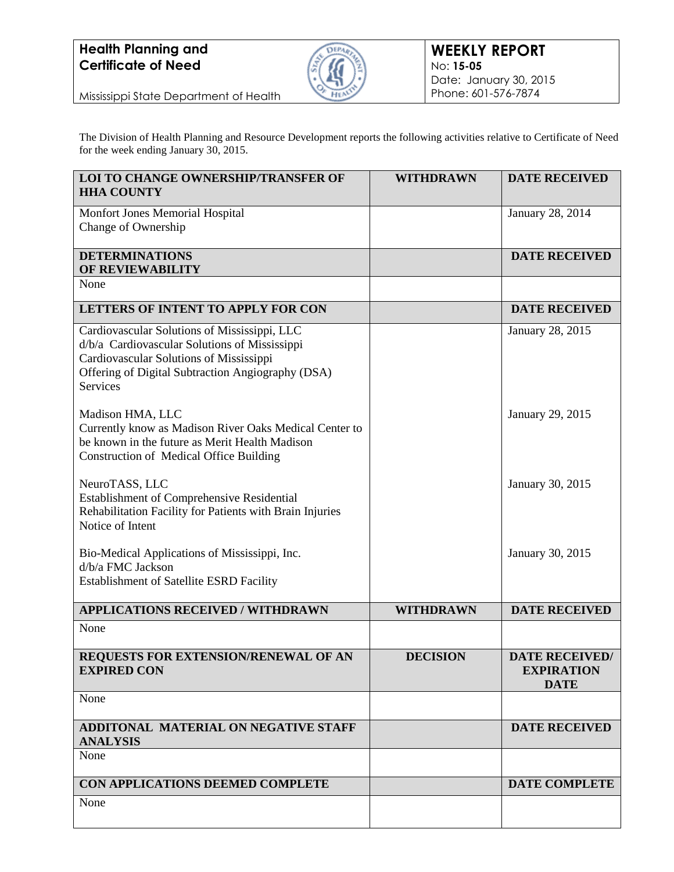

Mississippi State Department of Health

The Division of Health Planning and Resource Development reports the following activities relative to Certificate of Need for the week ending January 30, 2015.

| <b>LOI TO CHANGE OWNERSHIP/TRANSFER OF</b><br><b>HHA COUNTY</b>                                                                                                                                                                      | <b>WITHDRAWN</b> | <b>DATE RECEIVED</b>                                      |
|--------------------------------------------------------------------------------------------------------------------------------------------------------------------------------------------------------------------------------------|------------------|-----------------------------------------------------------|
| Monfort Jones Memorial Hospital<br>Change of Ownership                                                                                                                                                                               |                  | January 28, 2014                                          |
| <b>DETERMINATIONS</b><br>OF REVIEWABILITY                                                                                                                                                                                            |                  | <b>DATE RECEIVED</b>                                      |
| None                                                                                                                                                                                                                                 |                  |                                                           |
| LETTERS OF INTENT TO APPLY FOR CON                                                                                                                                                                                                   |                  | <b>DATE RECEIVED</b>                                      |
| Cardiovascular Solutions of Mississippi, LLC<br>d/b/a Cardiovascular Solutions of Mississippi<br>Cardiovascular Solutions of Mississippi<br>Offering of Digital Subtraction Angiography (DSA)<br><b>Services</b><br>Madison HMA, LLC |                  | January 28, 2015<br>January 29, 2015                      |
| Currently know as Madison River Oaks Medical Center to<br>be known in the future as Merit Health Madison<br><b>Construction of Medical Office Building</b>                                                                           |                  |                                                           |
| NeuroTASS, LLC<br>Establishment of Comprehensive Residential<br>Rehabilitation Facility for Patients with Brain Injuries<br>Notice of Intent                                                                                         |                  | January 30, 2015                                          |
| Bio-Medical Applications of Mississippi, Inc.<br>d/b/a FMC Jackson<br><b>Establishment of Satellite ESRD Facility</b>                                                                                                                |                  | January 30, 2015                                          |
| <b>APPLICATIONS RECEIVED / WITHDRAWN</b>                                                                                                                                                                                             | <b>WITHDRAWN</b> | <b>DATE RECEIVED</b>                                      |
| None                                                                                                                                                                                                                                 |                  |                                                           |
| REQUESTS FOR EXTENSION/RENEWAL OF AN<br><b>EXPIRED CON</b>                                                                                                                                                                           | <b>DECISION</b>  | <b>DATE RECEIVED/</b><br><b>EXPIRATION</b><br><b>DATE</b> |
| None                                                                                                                                                                                                                                 |                  |                                                           |
| ADDITONAL MATERIAL ON NEGATIVE STAFF<br><b>ANALYSIS</b>                                                                                                                                                                              |                  | <b>DATE RECEIVED</b>                                      |
| None                                                                                                                                                                                                                                 |                  |                                                           |
| CON APPLICATIONS DEEMED COMPLETE                                                                                                                                                                                                     |                  | <b>DATE COMPLETE</b>                                      |
| None                                                                                                                                                                                                                                 |                  |                                                           |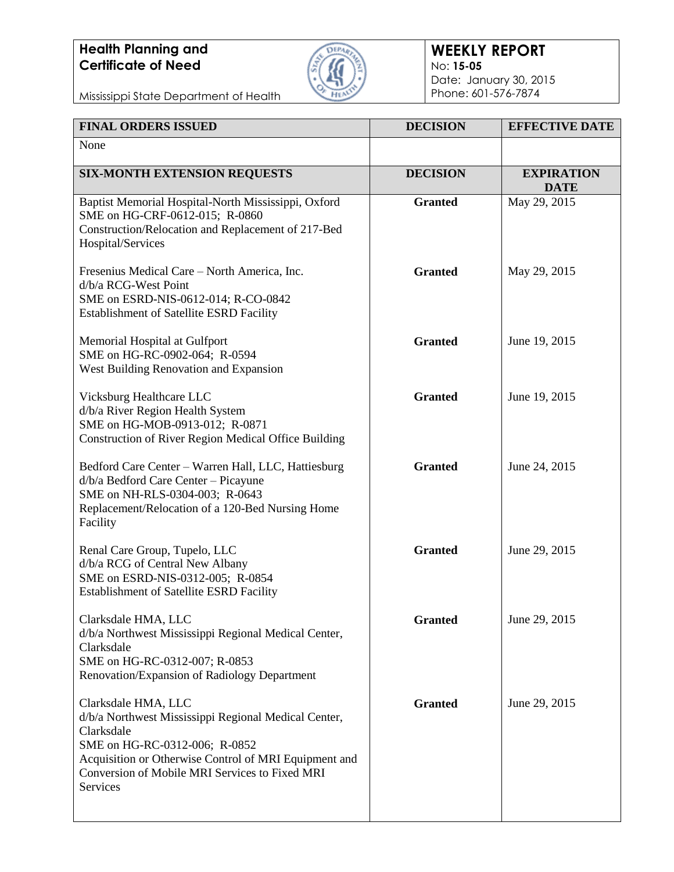

#### **WEEKLY REPORT** No: **15-05** Date: January 30, 2015 Phone: 601-576-7874

| <b>FINAL ORDERS ISSUED</b>                                                                                                                                                                                                                        | <b>DECISION</b> | <b>EFFECTIVE DATE</b>            |
|---------------------------------------------------------------------------------------------------------------------------------------------------------------------------------------------------------------------------------------------------|-----------------|----------------------------------|
| None                                                                                                                                                                                                                                              |                 |                                  |
| <b>SIX-MONTH EXTENSION REQUESTS</b>                                                                                                                                                                                                               | <b>DECISION</b> | <b>EXPIRATION</b><br><b>DATE</b> |
| Baptist Memorial Hospital-North Mississippi, Oxford<br>SME on HG-CRF-0612-015; R-0860<br>Construction/Relocation and Replacement of 217-Bed<br>Hospital/Services                                                                                  | <b>Granted</b>  | May 29, 2015                     |
| Fresenius Medical Care - North America, Inc.<br>d/b/a RCG-West Point<br>SME on ESRD-NIS-0612-014; R-CO-0842<br><b>Establishment of Satellite ESRD Facility</b>                                                                                    | <b>Granted</b>  | May 29, 2015                     |
| Memorial Hospital at Gulfport<br>SME on HG-RC-0902-064; R-0594<br>West Building Renovation and Expansion                                                                                                                                          | <b>Granted</b>  | June 19, 2015                    |
| Vicksburg Healthcare LLC<br>d/b/a River Region Health System<br>SME on HG-MOB-0913-012; R-0871<br>Construction of River Region Medical Office Building                                                                                            | <b>Granted</b>  | June 19, 2015                    |
| Bedford Care Center - Warren Hall, LLC, Hattiesburg<br>d/b/a Bedford Care Center - Picayune<br>SME on NH-RLS-0304-003; R-0643<br>Replacement/Relocation of a 120-Bed Nursing Home<br>Facility                                                     | <b>Granted</b>  | June 24, 2015                    |
| Renal Care Group, Tupelo, LLC<br>d/b/a RCG of Central New Albany<br>SME on ESRD-NIS-0312-005; R-0854<br>Establishment of Satellite ESRD Facility                                                                                                  | <b>Granted</b>  | June 29, 2015                    |
| Clarksdale HMA, LLC<br>d/b/a Northwest Mississippi Regional Medical Center,<br>Clarksdale<br>SME on HG-RC-0312-007; R-0853<br>Renovation/Expansion of Radiology Department                                                                        | <b>Granted</b>  | June 29, 2015                    |
| Clarksdale HMA, LLC<br>d/b/a Northwest Mississippi Regional Medical Center,<br>Clarksdale<br>SME on HG-RC-0312-006; R-0852<br>Acquisition or Otherwise Control of MRI Equipment and<br>Conversion of Mobile MRI Services to Fixed MRI<br>Services | <b>Granted</b>  | June 29, 2015                    |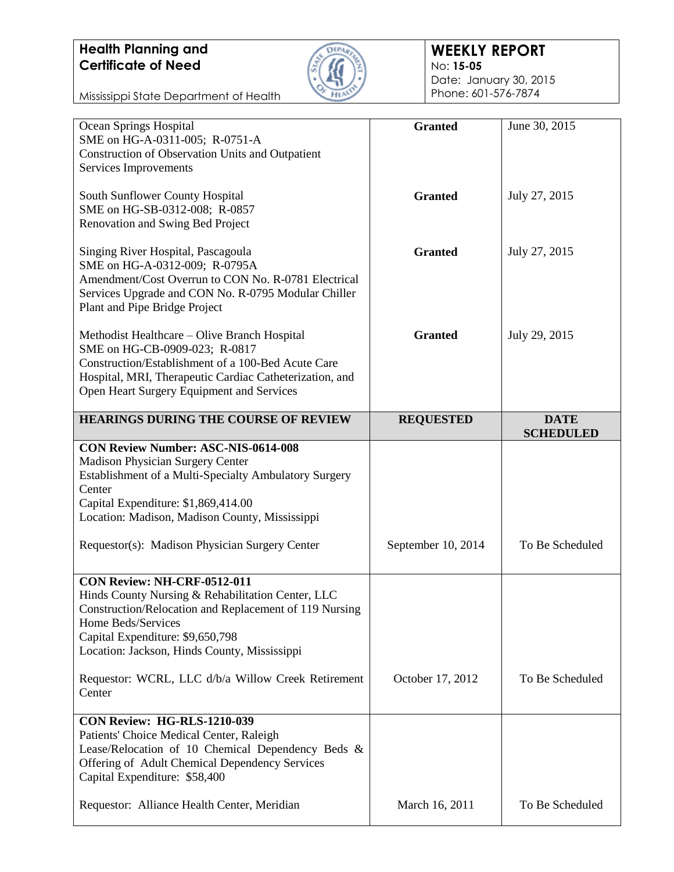

#### **WEEKLY REPORT** No: **15-05** Date: January 30, 2015 Phone: 601-576-7874

| Ocean Springs Hospital                                  | <b>Granted</b>     | June 30, 2015                   |
|---------------------------------------------------------|--------------------|---------------------------------|
| SME on HG-A-0311-005; R-0751-A                          |                    |                                 |
| <b>Construction of Observation Units and Outpatient</b> |                    |                                 |
| Services Improvements                                   |                    |                                 |
|                                                         |                    |                                 |
| South Sunflower County Hospital                         | <b>Granted</b>     | July 27, 2015                   |
| SME on HG-SB-0312-008; R-0857                           |                    |                                 |
| Renovation and Swing Bed Project                        |                    |                                 |
|                                                         |                    |                                 |
| Singing River Hospital, Pascagoula                      | <b>Granted</b>     | July 27, 2015                   |
| SME on HG-A-0312-009; R-0795A                           |                    |                                 |
| Amendment/Cost Overrun to CON No. R-0781 Electrical     |                    |                                 |
| Services Upgrade and CON No. R-0795 Modular Chiller     |                    |                                 |
| Plant and Pipe Bridge Project                           |                    |                                 |
|                                                         |                    |                                 |
| Methodist Healthcare - Olive Branch Hospital            | <b>Granted</b>     | July 29, 2015                   |
| SME on HG-CB-0909-023; R-0817                           |                    |                                 |
| Construction/Establishment of a 100-Bed Acute Care      |                    |                                 |
| Hospital, MRI, Therapeutic Cardiac Catheterization, and |                    |                                 |
| Open Heart Surgery Equipment and Services               |                    |                                 |
|                                                         |                    |                                 |
| <b>HEARINGS DURING THE COURSE OF REVIEW</b>             | <b>REQUESTED</b>   | <b>DATE</b><br><b>SCHEDULED</b> |
| <b>CON Review Number: ASC-NIS-0614-008</b>              |                    |                                 |
| <b>Madison Physician Surgery Center</b>                 |                    |                                 |
| Establishment of a Multi-Specialty Ambulatory Surgery   |                    |                                 |
| Center                                                  |                    |                                 |
|                                                         |                    |                                 |
|                                                         |                    |                                 |
| Capital Expenditure: \$1,869,414.00                     |                    |                                 |
| Location: Madison, Madison County, Mississippi          |                    |                                 |
|                                                         |                    |                                 |
| Requestor(s): Madison Physician Surgery Center          | September 10, 2014 | To Be Scheduled                 |
|                                                         |                    |                                 |
| CON Review: NH-CRF-0512-011                             |                    |                                 |
| Hinds County Nursing & Rehabilitation Center, LLC       |                    |                                 |
| Construction/Relocation and Replacement of 119 Nursing  |                    |                                 |
| Home Beds/Services                                      |                    |                                 |
| Capital Expenditure: \$9,650,798                        |                    |                                 |
| Location: Jackson, Hinds County, Mississippi            |                    |                                 |
|                                                         |                    |                                 |
| Requestor: WCRL, LLC d/b/a Willow Creek Retirement      | October 17, 2012   | To Be Scheduled                 |
| Center                                                  |                    |                                 |
|                                                         |                    |                                 |
| CON Review: HG-RLS-1210-039                             |                    |                                 |
| Patients' Choice Medical Center, Raleigh                |                    |                                 |
| Lease/Relocation of 10 Chemical Dependency Beds &       |                    |                                 |
| Offering of Adult Chemical Dependency Services          |                    |                                 |
| Capital Expenditure: \$58,400                           |                    |                                 |
|                                                         |                    |                                 |
| Requestor: Alliance Health Center, Meridian             | March 16, 2011     | To Be Scheduled                 |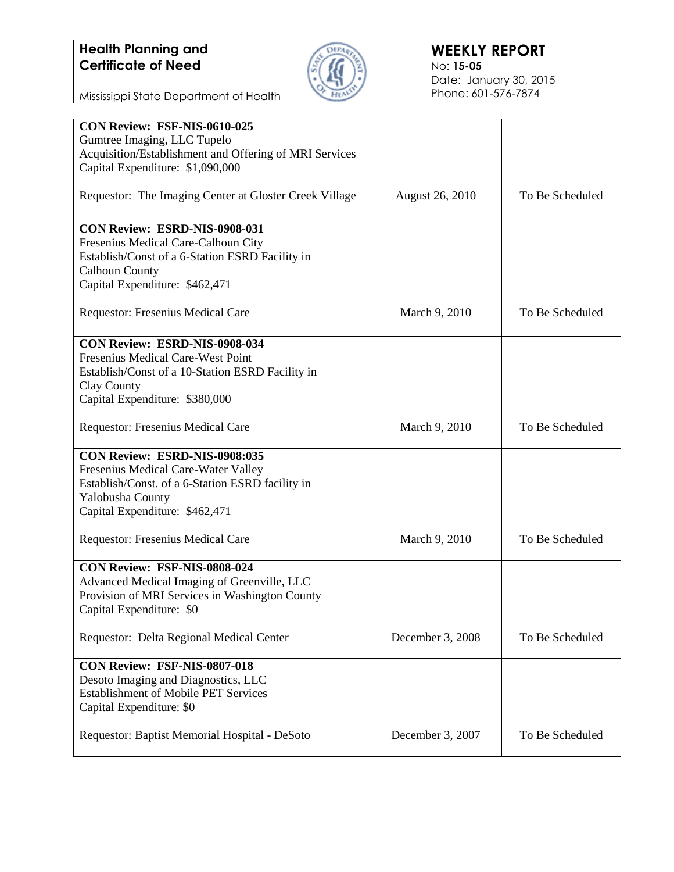

| CON Review: FSF-NIS-0610-025                           |                        |                 |
|--------------------------------------------------------|------------------------|-----------------|
|                                                        |                        |                 |
| Gumtree Imaging, LLC Tupelo                            |                        |                 |
| Acquisition/Establishment and Offering of MRI Services |                        |                 |
| Capital Expenditure: \$1,090,000                       |                        |                 |
|                                                        |                        |                 |
| Requestor: The Imaging Center at Gloster Creek Village | <b>August 26, 2010</b> | To Be Scheduled |
|                                                        |                        |                 |
|                                                        |                        |                 |
| <b>CON Review: ESRD-NIS-0908-031</b>                   |                        |                 |
| Fresenius Medical Care-Calhoun City                    |                        |                 |
| Establish/Const of a 6-Station ESRD Facility in        |                        |                 |
|                                                        |                        |                 |
| <b>Calhoun County</b>                                  |                        |                 |
| Capital Expenditure: \$462,471                         |                        |                 |
|                                                        |                        |                 |
| Requestor: Fresenius Medical Care                      | March 9, 2010          | To Be Scheduled |
|                                                        |                        |                 |
| CON Review: ESRD-NIS-0908-034                          |                        |                 |
|                                                        |                        |                 |
| Fresenius Medical Care-West Point                      |                        |                 |
| Establish/Const of a 10-Station ESRD Facility in       |                        |                 |
| Clay County                                            |                        |                 |
| Capital Expenditure: \$380,000                         |                        |                 |
|                                                        |                        |                 |
| Requestor: Fresenius Medical Care                      | March 9, 2010          | To Be Scheduled |
|                                                        |                        |                 |
|                                                        |                        |                 |
| CON Review: ESRD-NIS-0908:035                          |                        |                 |
| Fresenius Medical Care-Water Valley                    |                        |                 |
| Establish/Const. of a 6-Station ESRD facility in       |                        |                 |
| Yalobusha County                                       |                        |                 |
| Capital Expenditure: \$462,471                         |                        |                 |
|                                                        |                        |                 |
|                                                        |                        | To Be Scheduled |
| <b>Requestor: Fresenius Medical Care</b>               | March 9, 2010          |                 |
|                                                        |                        |                 |
| CON Review: FSF-NIS-0808-024                           |                        |                 |
| Advanced Medical Imaging of Greenville, LLC            |                        |                 |
| Provision of MRI Services in Washington County         |                        |                 |
| Capital Expenditure: \$0                               |                        |                 |
|                                                        |                        |                 |
|                                                        |                        |                 |
| Requestor: Delta Regional Medical Center               | December 3, 2008       | To Be Scheduled |
|                                                        |                        |                 |
| CON Review: FSF-NIS-0807-018                           |                        |                 |
| Desoto Imaging and Diagnostics, LLC                    |                        |                 |
| <b>Establishment of Mobile PET Services</b>            |                        |                 |
| Capital Expenditure: \$0                               |                        |                 |
|                                                        |                        |                 |
|                                                        |                        | To Be Scheduled |
| Requestor: Baptist Memorial Hospital - DeSoto          | December 3, 2007       |                 |
|                                                        |                        |                 |